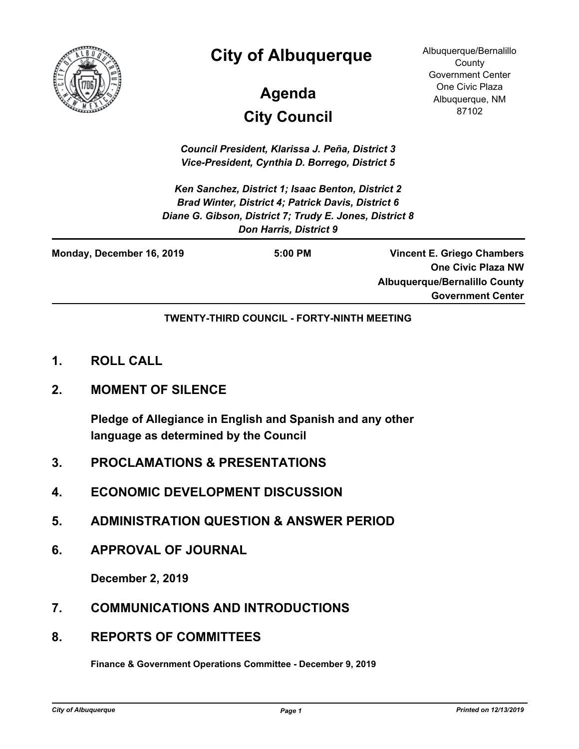

## **City of Albuquerque**

# **City Council Agenda**

Albuquerque/Bernalillo **County** Government Center One Civic Plaza Albuquerque, NM 87102

*Council President, Klarissa J. Peña, District 3 Vice-President, Cynthia D. Borrego, District 5*

*Ken Sanchez, District 1; Isaac Benton, District 2 Brad Winter, District 4; Patrick Davis, District 6 Diane G. Gibson, District 7; Trudy E. Jones, District 8 Don Harris, District 9*

| Monday, December 16, 2019 | $5:00$ PM | <b>Vincent E. Griego Chambers</b>    |
|---------------------------|-----------|--------------------------------------|
|                           |           | <b>One Civic Plaza NW</b>            |
|                           |           | <b>Albuquerque/Bernalillo County</b> |
|                           |           | <b>Government Center</b>             |

**TWENTY-THIRD COUNCIL - FORTY-NINTH MEETING**

- **1. ROLL CALL**
- **2. MOMENT OF SILENCE**

**Pledge of Allegiance in English and Spanish and any other language as determined by the Council**

- **3. PROCLAMATIONS & PRESENTATIONS**
- **4. ECONOMIC DEVELOPMENT DISCUSSION**
- **5. ADMINISTRATION QUESTION & ANSWER PERIOD**
- **6. APPROVAL OF JOURNAL**

**December 2, 2019**

- **7. COMMUNICATIONS AND INTRODUCTIONS**
- **8. REPORTS OF COMMITTEES**

**Finance & Government Operations Committee - December 9, 2019**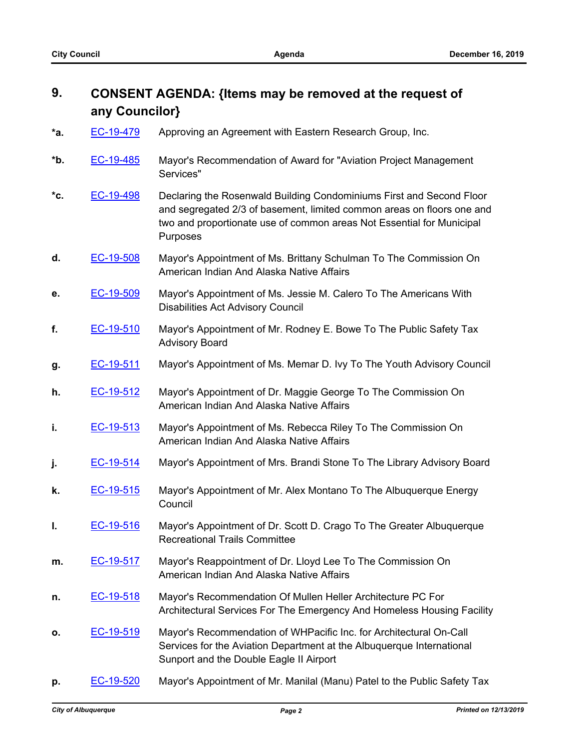### **9. CONSENT AGENDA: {Items may be removed at the request of any Councilor}**

- **\*a.** [EC-19-479](http://cabq.legistar.com/gateway.aspx?m=l&id=/matter.aspx?key=11734) Approving an Agreement with Eastern Research Group, Inc.
- **\*b.** [EC-19-485](http://cabq.legistar.com/gateway.aspx?m=l&id=/matter.aspx?key=11744) Mayor's Recommendation of Award for "Aviation Project Management Services"
- **\*c.** [EC-19-498](http://cabq.legistar.com/gateway.aspx?m=l&id=/matter.aspx?key=11761) Declaring the Rosenwald Building Condominiums First and Second Floor and segregated 2/3 of basement, limited common areas on floors one and two and proportionate use of common areas Not Essential for Municipal Purposes
- **d.** [EC-19-508](http://cabq.legistar.com/gateway.aspx?m=l&id=/matter.aspx?key=11784) Mayor's Appointment of Ms. Brittany Schulman To The Commission On American Indian And Alaska Native Affairs
- **e.** [EC-19-509](http://cabq.legistar.com/gateway.aspx?m=l&id=/matter.aspx?key=11785) Mayor's Appointment of Ms. Jessie M. Calero To The Americans With Disabilities Act Advisory Council
- **f.** [EC-19-510](http://cabq.legistar.com/gateway.aspx?m=l&id=/matter.aspx?key=11786) Mayor's Appointment of Mr. Rodney E. Bowe To The Public Safety Tax Advisory Board
- **g.** [EC-19-511](http://cabq.legistar.com/gateway.aspx?m=l&id=/matter.aspx?key=11787) Mayor's Appointment of Ms. Memar D. Ivy To The Youth Advisory Council
- **h.** [EC-19-512](http://cabq.legistar.com/gateway.aspx?m=l&id=/matter.aspx?key=11788) Mayor's Appointment of Dr. Maggie George To The Commission On American Indian And Alaska Native Affairs
- **i. [EC-19-513](http://cabq.legistar.com/gateway.aspx?m=l&id=/matter.aspx?key=11789)** Mayor's Appointment of Ms. Rebecca Riley To The Commission On American Indian And Alaska Native Affairs
- **j. [EC-19-514](http://cabq.legistar.com/gateway.aspx?m=l&id=/matter.aspx?key=11790)** Mayor's Appointment of Mrs. Brandi Stone To The Library Advisory Board
- **k.** [EC-19-515](http://cabq.legistar.com/gateway.aspx?m=l&id=/matter.aspx?key=11791) Mayor's Appointment of Mr. Alex Montano To The Albuquerque Energy **Council**
- **l.** [EC-19-516](http://cabq.legistar.com/gateway.aspx?m=l&id=/matter.aspx?key=11792) Mayor's Appointment of Dr. Scott D. Crago To The Greater Albuquerque Recreational Trails Committee
- **m.** [EC-19-517](http://cabq.legistar.com/gateway.aspx?m=l&id=/matter.aspx?key=11793) Mayor's Reappointment of Dr. Lloyd Lee To The Commission On American Indian And Alaska Native Affairs
- **n.** [EC-19-518](http://cabq.legistar.com/gateway.aspx?m=l&id=/matter.aspx?key=11794) Mayor's Recommendation Of Mullen Heller Architecture PC For Architectural Services For The Emergency And Homeless Housing Facility
- **o.** [EC-19-519](http://cabq.legistar.com/gateway.aspx?m=l&id=/matter.aspx?key=11795) Mayor's Recommendation of WHPacific Inc. for Architectural On-Call Services for the Aviation Department at the Albuquerque International Sunport and the Double Eagle II Airport
- **p.** [EC-19-520](http://cabq.legistar.com/gateway.aspx?m=l&id=/matter.aspx?key=11798) Mayor's Appointment of Mr. Manilal (Manu) Patel to the Public Safety Tax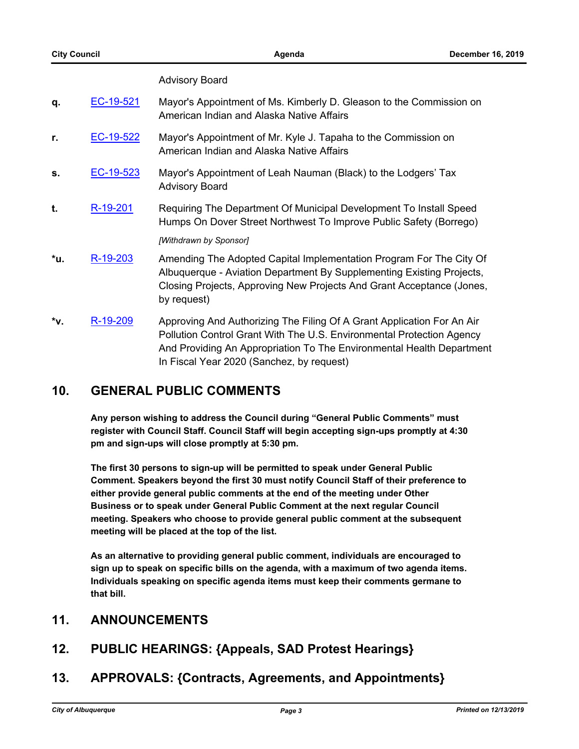#### Advisory Board

| q.  | EC-19-521 | Mayor's Appointment of Ms. Kimberly D. Gleason to the Commission on<br>American Indian and Alaska Native Affairs                                                                                                                                                      |
|-----|-----------|-----------------------------------------------------------------------------------------------------------------------------------------------------------------------------------------------------------------------------------------------------------------------|
| r.  | EC-19-522 | Mayor's Appointment of Mr. Kyle J. Tapaha to the Commission on<br>American Indian and Alaska Native Affairs                                                                                                                                                           |
| s.  | EC-19-523 | Mayor's Appointment of Leah Nauman (Black) to the Lodgers' Tax<br><b>Advisory Board</b>                                                                                                                                                                               |
| t.  | R-19-201  | Requiring The Department Of Municipal Development To Install Speed<br>Humps On Dover Street Northwest To Improve Public Safety (Borrego)                                                                                                                              |
|     |           | [Withdrawn by Sponsor]                                                                                                                                                                                                                                                |
| *u. | R-19-203  | Amending The Adopted Capital Implementation Program For The City Of<br>Albuquerque - Aviation Department By Supplementing Existing Projects,<br>Closing Projects, Approving New Projects And Grant Acceptance (Jones,<br>by request)                                  |
| *v. | R-19-209  | Approving And Authorizing The Filing Of A Grant Application For An Air<br>Pollution Control Grant With The U.S. Environmental Protection Agency<br>And Providing An Appropriation To The Environmental Health Department<br>In Fiscal Year 2020 (Sanchez, by request) |

#### **10. GENERAL PUBLIC COMMENTS**

**Any person wishing to address the Council during "General Public Comments" must register with Council Staff. Council Staff will begin accepting sign-ups promptly at 4:30 pm and sign-ups will close promptly at 5:30 pm.**

**The first 30 persons to sign-up will be permitted to speak under General Public Comment. Speakers beyond the first 30 must notify Council Staff of their preference to either provide general public comments at the end of the meeting under Other Business or to speak under General Public Comment at the next regular Council meeting. Speakers who choose to provide general public comment at the subsequent meeting will be placed at the top of the list.**

**As an alternative to providing general public comment, individuals are encouraged to sign up to speak on specific bills on the agenda, with a maximum of two agenda items. Individuals speaking on specific agenda items must keep their comments germane to that bill.**

#### **11. ANNOUNCEMENTS**

- **12. PUBLIC HEARINGS: {Appeals, SAD Protest Hearings}**
- **13. APPROVALS: {Contracts, Agreements, and Appointments}**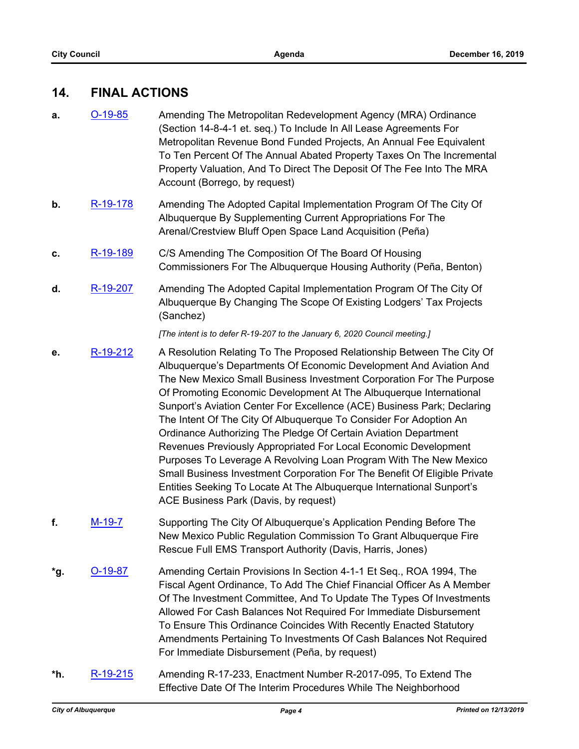#### **14. FINAL ACTIONS**

- **a. [O-19-85](http://cabq.legistar.com/gateway.aspx?m=l&id=/matter.aspx?key=11742)** Amending The Metropolitan Redevelopment Agency (MRA) Ordinance (Section 14-8-4-1 et. seq.) To Include In All Lease Agreements For Metropolitan Revenue Bond Funded Projects, An Annual Fee Equivalent To Ten Percent Of The Annual Abated Property Taxes On The Incremental Property Valuation, And To Direct The Deposit Of The Fee Into The MRA Account (Borrego, by request)
- **b.** [R-19-178](http://cabq.legistar.com/gateway.aspx?m=l&id=/matter.aspx?key=11659) Amending The Adopted Capital Implementation Program Of The City Of Albuquerque By Supplementing Current Appropriations For The Arenal/Crestview Bluff Open Space Land Acquisition (Peña)
- **c.** [R-19-189](http://cabq.legistar.com/gateway.aspx?m=l&id=/matter.aspx?key=11698) C/S Amending The Composition Of The Board Of Housing Commissioners For The Albuquerque Housing Authority (Peña, Benton)
- **d.** [R-19-207](http://cabq.legistar.com/gateway.aspx?m=l&id=/matter.aspx?key=11767) Amending The Adopted Capital Implementation Program Of The City Of Albuquerque By Changing The Scope Of Existing Lodgers' Tax Projects (Sanchez)

*[The intent is to defer R-19-207 to the January 6, 2020 Council meeting.]*

- **e.** [R-19-212](http://cabq.legistar.com/gateway.aspx?m=l&id=/matter.aspx?key=11796) A Resolution Relating To The Proposed Relationship Between The City Of Albuquerque's Departments Of Economic Development And Aviation And The New Mexico Small Business Investment Corporation For The Purpose Of Promoting Economic Development At The Albuquerque International Sunport's Aviation Center For Excellence (ACE) Business Park; Declaring The Intent Of The City Of Albuquerque To Consider For Adoption An Ordinance Authorizing The Pledge Of Certain Aviation Department Revenues Previously Appropriated For Local Economic Development Purposes To Leverage A Revolving Loan Program With The New Mexico Small Business Investment Corporation For The Benefit Of Eligible Private Entities Seeking To Locate At The Albuquerque International Sunport's ACE Business Park (Davis, by request)
- **f.** [M-19-7](http://cabq.legistar.com/gateway.aspx?m=l&id=/matter.aspx?key=11802) Supporting The City Of Albuquerque's Application Pending Before The New Mexico Public Regulation Commission To Grant Albuquerque Fire Rescue Full EMS Transport Authority (Davis, Harris, Jones)
- **\*g.** [O-19-87](http://cabq.legistar.com/gateway.aspx?m=l&id=/matter.aspx?key=11779) Amending Certain Provisions In Section 4-1-1 Et Seq., ROA 1994, The Fiscal Agent Ordinance, To Add The Chief Financial Officer As A Member Of The Investment Committee, And To Update The Types Of Investments Allowed For Cash Balances Not Required For Immediate Disbursement To Ensure This Ordinance Coincides With Recently Enacted Statutory Amendments Pertaining To Investments Of Cash Balances Not Required For Immediate Disbursement (Peña, by request)
- **\*h.** [R-19-215](http://cabq.legistar.com/gateway.aspx?m=l&id=/matter.aspx?key=11821) Amending R-17-233, Enactment Number R-2017-095, To Extend The Effective Date Of The Interim Procedures While The Neighborhood